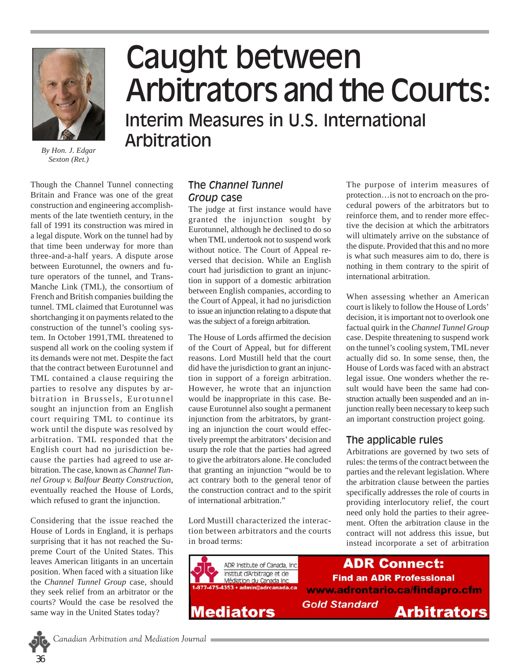

*By Hon. J. Edgar Sexton (Ret.)*

 cause the parties had agreed to use ar-Though the Channel Tunnel connecting Britain and France was one of the great construction and engineering accomplishments of the late twentieth century, in the fall of 1991 its construction was mired in a legal dispute. Work on the tunnel had by that time been underway for more than three-and-a-half years. A dispute arose between Eurotunnel, the owners and future operators of the tunnel, and Trans-Manche Link (TML), the consortium of French and British companies building the tunnel. TML claimed that Eurotunnel was shortchanging it on payments related to the construction of the tunnel's cooling system. In October 1991,TML threatened to suspend all work on the cooling system if its demands were not met. Despite the fact that the contract between Eurotunnel and TML contained a clause requiring the parties to resolve any disputes by arbitration in Brussels, Eurotunnel sought an injunction from an English court requiring TML to continue its work until the dispute was resolved by arbitration. TML responded that the English court had no jurisdiction bebitration. The case, known as *Channel Tunnel Group v. Balfour Beatty Construction*, eventually reached the House of Lords, which refused to grant the injunction.

Considering that the issue reached the House of Lords in England, it is perhaps surprising that it has not reached the Supreme Court of the United States. This leaves American litigants in an uncertain position. When faced with a situation like the *Channel Tunnel Group* case, should they seek relief from an arbitrator or the courts? Would the case be resolved the same way in the United States today?

# Caught between Arbitrators and the Courts: Interim Measures in U.S. International Arbitration

## The *Channel Tunnel Group* case

The judge at first instance would have granted the injunction sought by Eurotunnel, although he declined to do so when TML undertook not to suspend work without notice. The Court of Appeal reversed that decision. While an English court had jurisdiction to grant an injunction in support of a domestic arbitration between English companies, according to the Court of Appeal, it had no jurisdiction to issue an injunction relating to a dispute that was the subject of a foreign arbitration.

The House of Lords affirmed the decision of the Court of Appeal, but for different reasons. Lord Mustill held that the court did have the jurisdiction to grant an injunction in support of a foreign arbitration. However, he wrote that an injunction would be inappropriate in this case. Because Eurotunnel also sought a permanent injunction from the arbitrators, by granting an injunction the court would effectively preempt the arbitrators' decision and usurp the role that the parties had agreed to give the arbitrators alone. He concluded that granting an injunction "would be to act contrary both to the general tenor of the construction contract and to the spirit of international arbitration."

Lord Mustill characterized the interaction between arbitrators and the courts in broad terms:



The purpose of interim measures of protection…is not to encroach on the procedural powers of the arbitrators but to reinforce them, and to render more effective the decision at which the arbitrators will ultimately arrive on the substance of the dispute. Provided that this and no more is what such measures aim to do, there is nothing in them contrary to the spirit of international arbitration.

When assessing whether an American court is likely to follow the House of Lords' decision, it is important not to overlook one factual quirk in the *Channel Tunnel Group*  case. Despite threatening to suspend work on the tunnel's cooling system, TML never actually did so. In some sense, then, the House of Lords was faced with an abstract legal issue. One wonders whether the result would have been the same had construction actually been suspended and an injunction really been necessary to keep such an important construction project going.

## The applicable rules

Arbitrations are governed by two sets of rules: the terms of the contract between the parties and the relevant legislation. Where the arbitration clause between the parties specifically addresses the role of courts in providing interlocutory relief, the court need only hold the parties to their agreement. Often the arbitration clause in the contract will not address this issue, but instead incorporate a set of arbitration

**ADR Connect: Find an ADR Professional** www.adrontario.ca/findapro.cfm **Gold Standard** Arbitrators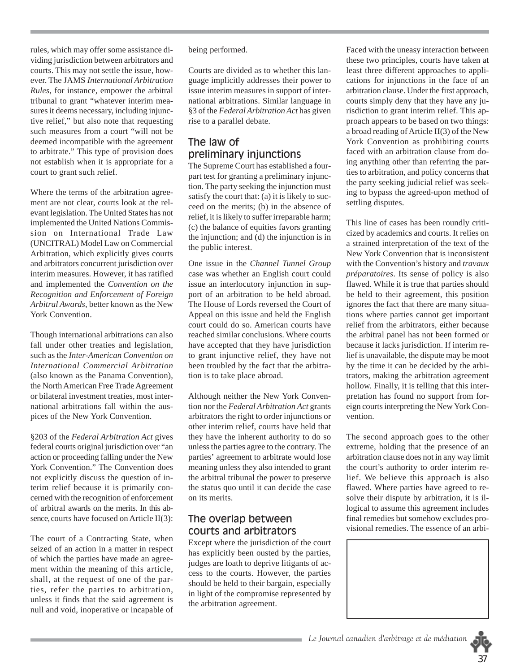rules, which may offer some assistance dividing jurisdiction between arbitrators and courts. This may not settle the issue, however. The JAMS *International Arbitration Rules*, for instance, empower the arbitral tribunal to grant "whatever interim measures it deems necessary, including injunctive relief," but also note that requesting such measures from a court "will not be deemed incompatible with the agreement to arbitrate." This type of provision does not establish when it is appropriate for a court to grant such relief.

Where the terms of the arbitration agreement are not clear, courts look at the relevant legislation. The United States has not implemented the United Nations Commission on International Trade Law (UNCITRAL) Model Law on Commercial Arbitration, which explicitly gives courts and arbitrators concurrent jurisdiction over interim measures. However, it has ratified and implemented the *Convention on the Recognition and Enforcement of Foreign Arbitral Awards*, better known as the New York Convention.

Though international arbitrations can also fall under other treaties and legislation, such as the *Inter-American Convention on International Commercial Arbitration*  (also known as the Panama Convention), the North American Free Trade Agreement or bilateral investment treaties, most international arbitrations fall within the auspices of the New York Convention.

§203 of the *Federal Arbitration Act* gives federal courts original jurisdiction over "an action or proceeding falling under the New York Convention." The Convention does not explicitly discuss the question of interim relief because it is primarily concerned with the recognition of enforcement of arbitral awards on the merits. In this absence, courts have focused on Article II(3):

The court of a Contracting State, when seized of an action in a matter in respect of which the parties have made an agreement within the meaning of this article, shall, at the request of one of the parties, refer the parties to arbitration, unless it finds that the said agreement is null and void, inoperative or incapable of being performed.

Courts are divided as to whether this language implicitly addresses their power to issue interim measures in support of international arbitrations. Similar language in §3 of the *Federal Arbitration Act* has given rise to a parallel debate.

## The law of preliminary injunctions

The Supreme Court has established a fourpart test for granting a preliminary injunction. The party seeking the injunction must satisfy the court that: (a) it is likely to succeed on the merits; (b) in the absence of relief, it is likely to suffer irreparable harm; (c) the balance of equities favors granting the injunction; and (d) the injunction is in the public interest.

One issue in the *Channel Tunnel Group*  case was whether an English court could issue an interlocutory injunction in support of an arbitration to be held abroad. The House of Lords reversed the Court of Appeal on this issue and held the English court could do so. American courts have reached similar conclusions. Where courts have accepted that they have jurisdiction to grant injunctive relief, they have not been troubled by the fact that the arbitration is to take place abroad.

Although neither the New York Convention nor the *Federal Arbitration Act* grants arbitrators the right to order injunctions or other interim relief, courts have held that they have the inherent authority to do so unless the parties agree to the contrary. The parties' agreement to arbitrate would lose meaning unless they also intended to grant the arbitral tribunal the power to preserve the status quo until it can decide the case on its merits.

#### The overlap between courts and arbitrators

Except where the jurisdiction of the court has explicitly been ousted by the parties, judges are loath to deprive litigants of access to the courts. However, the parties should be held to their bargain, especially in light of the compromise represented by the arbitration agreement.

Faced with the uneasy interaction between these two principles, courts have taken at least three different approaches to applications for injunctions in the face of an arbitration clause. Under the first approach, courts simply deny that they have any jurisdiction to grant interim relief. This approach appears to be based on two things: a broad reading of Article II(3) of the New York Convention as prohibiting courts faced with an arbitration clause from doing anything other than referring the parties to arbitration, and policy concerns that the party seeking judicial relief was seeking to bypass the agreed-upon method of settling disputes.

This line of cases has been roundly criticized by academics and courts. It relies on a strained interpretation of the text of the New York Convention that is inconsistent with the Convention's history and *travaux préparatoires*. Its sense of policy is also flawed. While it is true that parties should be held to their agreement, this position ignores the fact that there are many situations where parties cannot get important relief from the arbitrators, either because the arbitral panel has not been formed or because it lacks jurisdiction. If interim relief is unavailable, the dispute may be moot by the time it can be decided by the arbitrators, making the arbitration agreement hollow. Finally, it is telling that this interpretation has found no support from foreign courts interpreting the New York Convention.

The second approach goes to the other extreme, holding that the presence of an arbitration clause does not in any way limit the court's authority to order interim relief. We believe this approach is also flawed. Where parties have agreed to resolve their dispute by arbitration, it is illogical to assume this agreement includes final remedies but somehow excludes provisional remedies. The essence of an arbi-